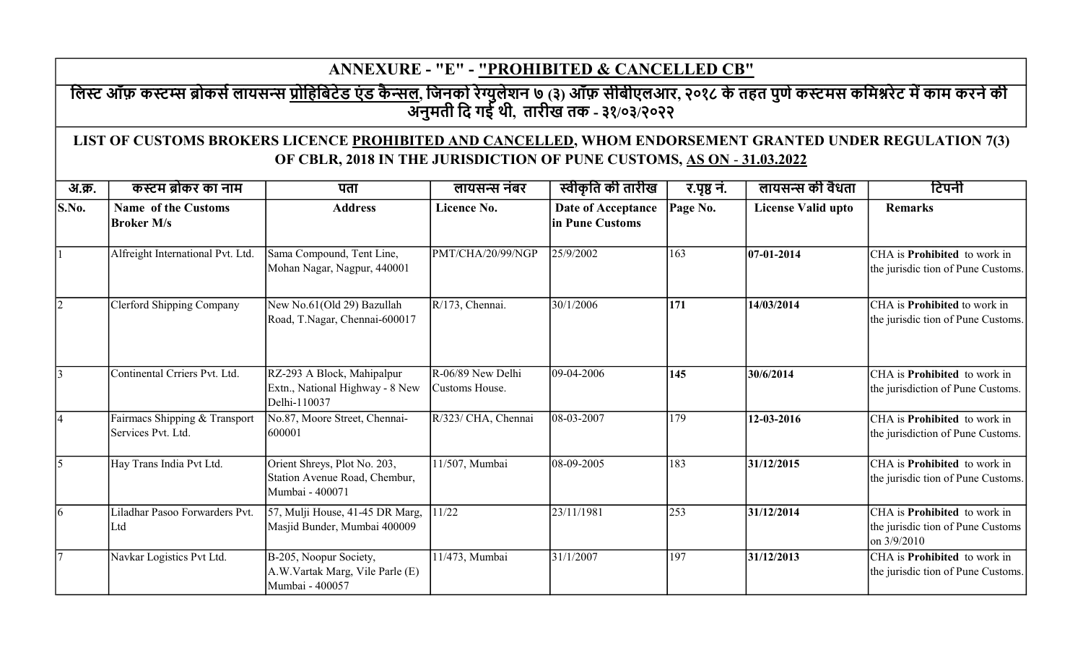## ANNEXURE - "E" - "PROHIBITED & CANCELLED CB"

## लिस्ट ऑफ़ कस्टम्स ब्रोकर्स लायसन्स <u>प्रोहिबिटेड एंड कैन्सल,</u> जिनको रेग्युलेशन ७ (३) ऑफ़ सीबीएलआर, २०१८ के तहत पुणे कस्टमस कमिश्नरेट में काम करने की अनुमती िद गई थी, तारीख तक - ३१/०३/२०२२

## LIST OF CUSTOMS BROKERS LICENCE PROHIBITED AND CANCELLED, WHOM ENDORSEMENT GRANTED UNDER REGULATION 7(3) OF CBLR, 2018 IN THE JURISDICTION OF PUNE CUSTOMS, AS ON - 31.03.2022

| अ.क्र.                    | कस्टम ब्रोकर का नाम                                 | पता                                                                              | लायसन्स नंबर                        | स्वीकृति की तारीख                     | र.पृष्ठ नं. | लायसन्स की वैधता          | टिपनी                                                                                   |
|---------------------------|-----------------------------------------------------|----------------------------------------------------------------------------------|-------------------------------------|---------------------------------------|-------------|---------------------------|-----------------------------------------------------------------------------------------|
| $\mathbf{S}.\mathbf{No}.$ | <b>Name of the Customs</b><br><b>Broker M/s</b>     | <b>Address</b>                                                                   | Licence No.                         | Date of Acceptance<br>in Pune Customs | Page No.    | <b>License Valid upto</b> | <b>Remarks</b>                                                                          |
|                           | Alfreight International Pvt. Ltd.                   | Sama Compound, Tent Line,<br>Mohan Nagar, Nagpur, 440001                         | PMT/CHA/20/99/NGP                   | 25/9/2002                             | 163         | $ 07-01-2014 $            | CHA is Prohibited to work in<br>the jurisdic tion of Pune Customs.                      |
| $\overline{2}$            | <b>Clerford Shipping Company</b>                    | New No.61(Old 29) Bazullah<br>Road, T.Nagar, Chennai-600017                      | $R/173$ , Chennai.                  | 30/1/2006                             | 171         | 14/03/2014                | CHA is <b>Prohibited</b> to work in<br>the jurisdic tion of Pune Customs.               |
| $\overline{3}$            | Continental Crriers Pvt. Ltd.                       | RZ-293 A Block, Mahipalpur<br>Extn., National Highway - 8 New<br>Delhi-110037    | R-06/89 New Delhi<br>Customs House. | 09-04-2006                            | 145         | 30/6/2014                 | CHA is <b>Prohibited</b> to work in<br>the jurisdiction of Pune Customs.                |
| $\overline{4}$            | Fairmacs Shipping & Transport<br>Services Pvt. Ltd. | No.87, Moore Street, Chennai-<br>600001                                          | R/323/ CHA, Chennai                 | 08-03-2007                            | 179         | 12-03-2016                | CHA is <b>Prohibited</b> to work in<br>the jurisdiction of Pune Customs.                |
| $\overline{5}$            | Hay Trans India Pvt Ltd.                            | Orient Shreys, Plot No. 203,<br>Station Avenue Road, Chembur,<br>Mumbai - 400071 | 11/507, Mumbai                      | 08-09-2005                            | 183         | 31/12/2015                | CHA is Prohibited to work in<br>the jurisdic tion of Pune Customs.                      |
| <sup>6</sup>              | Liladhar Pasoo Forwarders Pvt.<br> Ltd              | 57, Mulji House, 41-45 DR Marg,<br>Masjid Bunder, Mumbai 400009                  | 11/22                               | 23/11/1981                            | 253         | 31/12/2014                | CHA is <b>Prohibited</b> to work in<br>the jurisdic tion of Pune Customs<br>on 3/9/2010 |
| $\overline{7}$            | Navkar Logistics Pvt Ltd.                           | B-205, Noopur Society,<br>A.W.Vartak Marg, Vile Parle (E)<br>Mumbai - 400057     | 11/473, Mumbai                      | 31/1/2007                             | 197         | 31/12/2013                | CHA is <b>Prohibited</b> to work in<br>the jurisdic tion of Pune Customs.               |